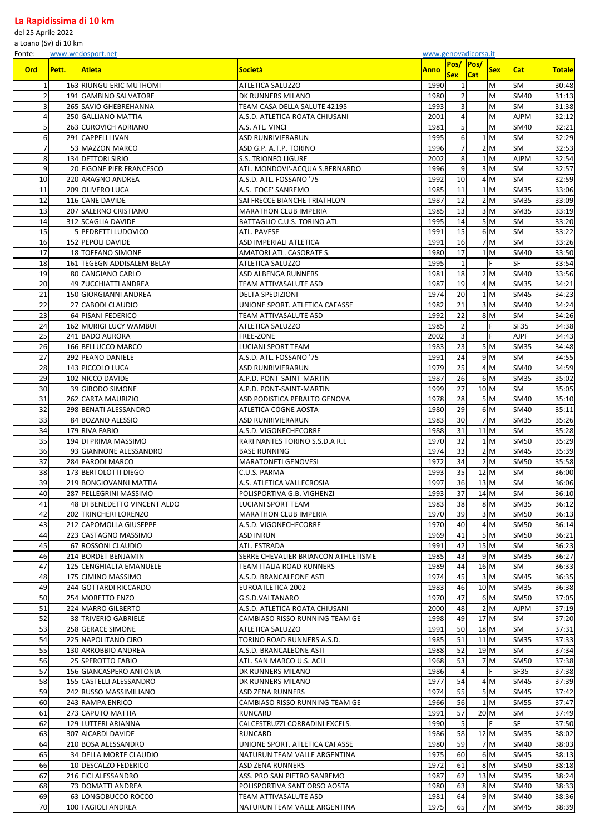## **La Rapidissima di 10 km**

del 25 Aprile 2022

a Loano (Sv) di 10 km

Fonte: [www.wedosport.net](http://www.wedosport.net/) [www.genovadicorsa.it](http://www.genovadicorsa.it/)

| <b>Ord</b>      | Pett. | <b>Atleta</b>                                          | Società                                                 | <b>Anno</b>  | <b>Pos/Pos/</b><br><b>Sex</b> | <b>Cat</b> | <b>Sex</b>         | Cat               | <b>Totale</b>  |
|-----------------|-------|--------------------------------------------------------|---------------------------------------------------------|--------------|-------------------------------|------------|--------------------|-------------------|----------------|
| $\mathbf{1}$    |       | 163 RIUNGU ERIC MUTHOMI                                | ATLETICA SALUZZO                                        | 1990         |                               |            | M                  | SM                | 30:48          |
| $\overline{2}$  |       | 191 GAMBINO SALVATORE                                  | <b>DK RUNNERS MILANO</b>                                | 1980         | 21                            |            | M                  | <b>SM40</b>       | 31:13          |
| 3               |       | 265 SAVIO GHEBREHANNA                                  | TEAM CASA DELLA SALUTE 42195                            | 1993         | 31                            |            | M                  | SM                | 31:38          |
| 4               |       | 250 GALLIANO MATTIA                                    | A.S.D. ATLETICA ROATA CHIUSANI                          | 2001         |                               |            | M                  | <b>AJPM</b>       | 32:12          |
| 5 <sup>1</sup>  |       | 263 CUROVICH ADRIANO                                   | A.S. ATL. VINCI                                         | 1981         |                               |            | M                  | <b>SM40</b>       | 32:21          |
| 6 <sup>1</sup>  |       | 291 CAPPELLI IVAN                                      | <b>ASD RUNRIVIERARUN</b>                                | 1995         | $6 \mid$                      |            | 1M                 | SM                | 32:29          |
| 7               |       | 53 MAZZON MARCO                                        | ASD G.P. A.T.P. TORINO                                  | 1996         |                               |            | 2 M                | SM                | 32:53          |
| 8               |       | 134 DETTORI SIRIO                                      | <b>S.S. TRIONFO LIGURE</b>                              | 2002         | 8 <sup>1</sup>                |            | 1 <sub>M</sub>     | <b>AJPM</b>       | 32:54          |
| 9               |       | 20 FIGONE PIER FRANCESCO                               | ATL. MONDOVI'-ACQUA S.BERNARDO                          | 1996         | $\overline{9}$                |            | 3 M                | <b>SM</b>         | 32:57          |
| 10 <sup>1</sup> |       | 220 ARAGNO ANDREA                                      | A.S.D. ATL. FOSSANO '75                                 | 1992         | 10                            |            | 4 M                | <b>SM</b>         | 32:59          |
| 11              |       | 209 OLIVERO LUCA                                       | A.S. 'FOCE' SANREMO                                     | 1985         | 11                            |            | 1 M                | <b>SM35</b>       | 33:06          |
| 12              |       | 116 CANE DAVIDE                                        | SAI FRECCE BIANCHE TRIATHLON                            | 1987         | 12                            |            | 2 M                | <b>SM35</b>       | 33:09          |
| 13              |       | 207 SALERNO CRISTIANO                                  | <b>MARATHON CLUB IMPERIA</b>                            | 1985         | 13                            |            | 3 M                | <b>SM35</b>       | 33:19          |
| 14              |       | 312 SCAGLIA DAVIDE                                     | BATTAGLIO C.U.S. TORINO ATL                             | 1995         | 14                            |            | 5 M                | <b>SM</b>         | 33:20          |
| 15              |       | <b>SIPEDRETTI LUDOVICO</b>                             | <b>ATL. PAVESE</b>                                      | 1991         | 15                            |            | 6 M                | <b>SM</b>         | 33:22          |
| 16              |       | 152 PEPOLI DAVIDE                                      | ASD IMPERIALI ATLETICA                                  | 1991         | 16                            |            | 7M                 | <b>SM</b>         | 33:26          |
| 17              |       | 18 TOFFANO SIMONE                                      | <b>AMATORI ATL. CASORATE S.</b>                         | 1980         | 17                            |            | 1 M                | <b>SM40</b>       | 33:50          |
| 18              |       | 161 TEGEGN ADDISALEM BELAY                             | <b>ATLETICA SALUZZO</b>                                 | 1995         |                               |            | F                  | <b>SF</b>         | 33:54          |
| 19              |       | 80 CANGIANO CARLO                                      | ASD ALBENGA RUNNERS                                     | 1981         | 18                            |            | 2 M                | <b>SM40</b>       | 33:56          |
| 20              |       | 49 ZUCCHIATTI ANDREA                                   | TEAM ATTIVASALUTE ASD                                   | 1987         | 19                            |            | 4M                 | <b>SM35</b>       | 34:21          |
| 21              |       | 150 GIORGIANNI ANDREA                                  | <b>DELTA SPEDIZIONI</b>                                 | 1974         | 20                            |            | 1M                 | <b>SM45</b>       | 34:23          |
| 22              |       | 27 CABODI CLAUDIO                                      | UNIONE SPORT. ATLETICA CAFASSE                          | 1982         | 21                            |            | 3 M                | <b>SM40</b>       | 34:24          |
| 23              |       | 64 PISANI FEDERICO                                     | TEAM ATTIVASALUTE ASD                                   | 1992         | 22                            |            | 8 M                | SM                | 34:26          |
| 24              |       | 162 MURIGI LUCY WAMBUI                                 | ATLETICA SALUZZO                                        | 1985         |                               |            |                    | <b>SF35</b>       | 34:38          |
| 25              |       | 241 BADO AURORA                                        | <b>FREE-ZONE</b>                                        | 2002         |                               |            | F                  | <b>AJPF</b>       | 34:43          |
| 26              |       | 166 BELLUCCO MARCO                                     | <b>LUCIANI SPORT TEAM</b>                               | 1983         | 23                            |            | 5M                 | <b>SM35</b>       | 34:48          |
| 27              |       | 292 PEANO DANIELE                                      | A.S.D. ATL. FOSSANO '75                                 | 1991         | 24                            |            | 9M                 | <b>SM</b>         | 34:55          |
| 28              |       | 143 PICCOLO LUCA                                       | <b>ASD RUNRIVIERARUN</b>                                | 1979         | 25                            |            | 4 M                | <b>SM40</b>       | 34:59          |
| 29              |       | 102 NICCO DAVIDE                                       | A.P.D. PONT-SAINT-MARTIN                                | 1987         | 26                            |            | 6M                 | <b>SM35</b>       | 35:02          |
| 30              |       | 39 GIRODO SIMONE                                       | A.P.D. PONT-SAINT-MARTIN                                | 1999         | 27                            |            | 10 M               | SM                | 35:05          |
| 31              |       | 262 CARTA MAURIZIO                                     | ASD PODISTICA PERALTO GENOVA                            | 1978         | 28                            |            | 5M                 | <b>SM40</b>       | 35:10          |
| 32              |       | 298 BENATI ALESSANDRO                                  | <b>ATLETICA COGNE AOSTA</b>                             | 1980         | 29                            |            | 6 M                | <b>SM40</b>       | 35:11          |
| 33              |       | 84 BOZANO ALESSIO                                      | <b>ASD RUNRIVIERARUN</b>                                | 1983         | 30                            |            | 7 <sub>M</sub>     | <b>SM35</b>       | 35:26          |
| 34              |       | 179 RIVA FABIO                                         | A.S.D. VIGONECHECORRE                                   | 1988         | 31                            |            | $11$ M             | SM                | 35:28          |
| 35              |       | 194 DI PRIMA MASSIMO                                   | RARI NANTES TORINO S.S.D.A R.L                          | 1970         | 32                            |            | 1M                 | <b>SM50</b>       | 35:29          |
| 36              |       | 93 GIANNONE ALESSANDRO                                 | <b>BASE RUNNING</b>                                     | 1974         | 33                            |            | 2 M                | <b>SM45</b>       | 35:39          |
| 37              |       | 284 PARODI MARCO                                       | <b>MARATONETI GENOVESI</b>                              | 1972         | 34                            |            | 2 M                | <b>SM50</b>       | 35:58          |
| 38              |       | 173 BERTOLOTTI DIEGO                                   | C.U.S. PARMA                                            | 1993         | 35                            |            | 12 M               | <b>SM</b>         | 36:00          |
| 39<br>40        |       | 219 BONGIOVANNI MATTIA                                 | A.S. ATLETICA VALLECROSIA                               | 1997         | 36<br>37                      |            | 13 M               | SM                | 36:06          |
| 41              |       | 287 PELLEGRINI MASSIMO<br>48 DI BENEDETTO VINCENT ALDO | POLISPORTIVA G.B. VIGHENZI<br><b>LUCIANI SPORT TEAM</b> | 1993<br>1983 | 38                            |            | 14 M<br>$8\vert M$ | SM<br><b>SM35</b> | 36:10<br>36:12 |
| 42              |       | 202 TRINCHERI LORENZO                                  | <b>MARATHON CLUB IMPERIA</b>                            | 1970         | 39                            |            | 3M                 | <b>SM50</b>       | 36:13          |
| 43              |       | 212 CAPOMOLLA GIUSEPPE                                 | A.S.D. VIGONECHECORRE                                   | 1970         | 40                            |            | 4 M                | <b>SM50</b>       | 36:14          |
| 44              |       | 223 CASTAGNO MASSIMO                                   | <b>ASD INRUN</b>                                        | 1969         | 41                            |            | 5 M                | <b>SM50</b>       | 36:21          |
| 45              |       | 67 ROSSONI CLAUDIO                                     | ATL. ESTRADA                                            | 1991         | 42                            |            | 15 M               | <b>SM</b>         | 36:23          |
| 46              |       | 214 BORDET BENJAMIN                                    | SERRE CHEVALIER BRIANCON ATHLETISME                     | 1985         | 43                            |            | 9M                 | <b>SM35</b>       | 36:27          |
| 47              |       | 125 CENGHIALTA EMANUELE                                | TEAM ITALIA ROAD RUNNERS                                | 1989         | 44                            |            | 16 M               | SM                | 36:33          |
| 48              |       | 175 CIMINO MASSIMO                                     | A.S.D. BRANCALEONE ASTI                                 | 1974         | 45                            |            | 3 M                | <b>SM45</b>       | 36:35          |
| 49              |       | 244 GOTTARDI RICCARDO                                  | EUROATLETICA 2002                                       | 1983         | 46                            |            | 10 M               | <b>SM35</b>       | 36:38          |
| 50              |       | 254 MORETTO ENZO                                       | G.S.D.VALTANARO                                         | 1970         | 47                            |            | 6 M                | <b>SM50</b>       | 37:05          |
| 51              |       | 224 MARRO GILBERTO                                     | A.S.D. ATLETICA ROATA CHIUSANI                          | 2000         | 48                            |            | 2 M                | <b>AJPM</b>       | 37:19          |
| 52              |       | 38 TRIVERIO GABRIELE                                   | CAMBIASO RISSO RUNNING TEAM GE                          | 1998         | 49                            |            | 17 M               | SM                | 37:20          |
| 53              |       | 258 GERACE SIMONE                                      | <b>ATLETICA SALUZZO</b>                                 | 1991         | 50                            |            | 18 M               | <b>SM</b>         | 37:31          |
| 54              |       | 225 NAPOLITANO CIRO                                    | TORINO ROAD RUNNERS A.S.D.                              | 1985         | 51                            |            | $11$ M             | <b>SM35</b>       | 37:33          |
| 55              |       | 130 ARROBBIO ANDREA                                    | A.S.D. BRANCALEONE ASTI                                 | 1988         | 52                            |            | 19 M               | <b>SM</b>         | 37:34          |
| 56              |       | 25 SPEROTTO FABIO                                      | ATL. SAN MARCO U.S. ACLI                                | 1968         | 53                            |            | 7M                 | <b>SM50</b>       | 37:38          |
| 57              |       | 156 GIANCASPERO ANTONIA                                | DK RUNNERS MILANO                                       | 1986         | $\mathbf{A}$                  |            | F                  | <b>SF35</b>       | 37:38          |
| 58              |       | 155 CASTELLI ALESSANDRO                                | DK RUNNERS MILANO                                       | 1977         | 54                            |            | 4M                 | <b>SM45</b>       | 37:39          |
| 59              |       | 242 RUSSO MASSIMILIANO                                 | <b>ASD ZENA RUNNERS</b>                                 | 1974         | 55                            |            | 5 M                | <b>SM45</b>       | 37:42          |
| 60              |       | 243 RAMPA ENRICO                                       | CAMBIASO RISSO RUNNING TEAM GE                          | 1966         | 56                            |            | 1M                 | <b>SM55</b>       | 37:47          |
| 61              |       | 273 CAPUTO MATTIA                                      | RUNCARD                                                 | 1991         | 57                            |            | 20 M               | <b>SM</b>         | 37:49          |
| 62              |       | 129 LUTTERI ARIANNA                                    | CALCESTRUZZI CORRADINI EXCELS.                          | 1990         | 5 <sup>1</sup>                |            | F                  | <b>SF</b>         | 37:50          |
| 63              |       | 307 AICARDI DAVIDE                                     | <b>RUNCARD</b>                                          | 1986         | 58                            |            | 12 M               | <b>SM35</b>       | 38:02          |
| 64              |       | 210 BOSA ALESSANDRO                                    | UNIONE SPORT. ATLETICA CAFASSE                          | 1980         | 59                            |            | 7 <sub>M</sub>     | <b>SM40</b>       | 38:03          |
| 65              |       | 34 DELLA MORTE CLAUDIO                                 | NATURUN TEAM VALLE ARGENTINA                            | 1975         | 60                            |            | 6 M                | <b>SM45</b>       | 38:13          |
| 66              |       | 10 DESCALZO FEDERICO                                   | <b>ASD ZENA RUNNERS</b>                                 | 1972         | 61                            |            | 8 M                | <b>SM50</b>       | 38:18          |
| 67              |       | 216 FICI ALESSANDRO                                    | ASS. PRO SAN PIETRO SANREMO                             | 1987         | 62                            |            | 13 M               | <b>SM35</b>       | 38:24          |
| 68              |       | 73 DOMATTI ANDREA                                      | POLISPORTIVA SANT'ORSO AOSTA                            | 1980         | 63                            |            | 8 M                | <b>SM40</b>       | 38:33          |
| 69              |       | 63 LONGOBUCCO ROCCO                                    | TEAM ATTIVASALUTE ASD                                   | 1981         | 64                            |            | 9M                 | <b>SM40</b>       | 38:36          |
| 70              |       | 100 FAGIOLI ANDREA                                     | NATURUN TEAM VALLE ARGENTINA                            | 1975         | 65                            |            | 7 <sub>M</sub>     | <b>SM45</b>       | 38:39          |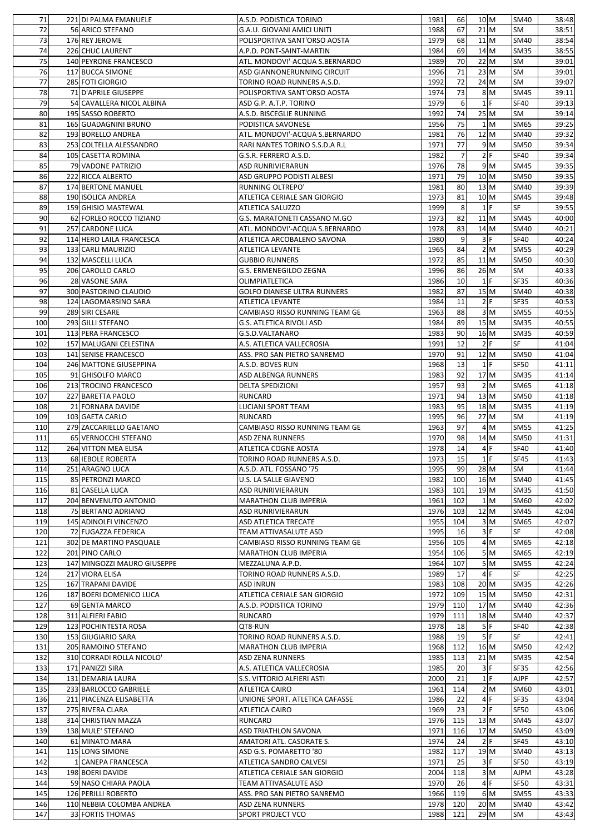| 71  | 221 DI PALMA EMANUELE       | A.S.D. PODISTICA TORINO            | 1981 | <b>66</b>      | 10 M             | <b>SM40</b>                             | 38:48          |
|-----|-----------------------------|------------------------------------|------|----------------|------------------|-----------------------------------------|----------------|
| 72  | 56 ARICO STEFANO            | G.A.U. GIOVANI AMICI UNITI         | 1988 | 67             | $21$ M           | <b>SM</b>                               | 38:51          |
| 73  | 176 REY JEROME              | POLISPORTIVA SANT'ORSO AOSTA       | 1979 | 68             | $11$ M           | <b>SM40</b>                             | 38:54          |
| 74  | 226 CHUC LAURENT            | A.P.D. PONT-SAINT-MARTIN           | 1984 | 69             | $14 \, M$        | <b>SM35</b>                             | 38:55          |
| 75  | 140 PEYRONE FRANCESCO       |                                    | 1989 | 70             | 22 M             | SM                                      |                |
|     |                             | ATL. MONDOVI'-ACQUA S.BERNARDO     |      |                |                  |                                         | 39:01          |
| 76  | 117 BUCCA SIMONE            | ASD GIANNONERUNNING CIRCUIT        | 1996 | 71             | 23 M             | <b>SM</b>                               | 39:01          |
| 77  | 285 FOTI GIORGIO            | TORINO ROAD RUNNERS A.S.D.         | 1992 | 72             | $24$ M           | <b>SM</b>                               | 39:07          |
| 78  | 71 D'APRILE GIUSEPPE        | POLISPORTIVA SANT'ORSO AOSTA       | 1974 | 73             | 8M               | <b>SM45</b>                             | 39:11          |
| 79  | 54 CAVALLERA NICOL ALBINA   | ASD G.P. A.T.P. TORINO             | 1979 | 6 <sup>1</sup> | $1$ F            | <b>SF40</b>                             | 39:13          |
| 80  | 195 SASSO ROBERTO           | A.S.D. BISCEGLIE RUNNING           | 1992 | 74             | $25$ M           | SM                                      | 39:14          |
| 81  | 165 GUADAGNINI BRUNO        | PODISTICA SAVONESE                 | 1956 | 75             |                  | 1 <sub>M</sub><br><b>SM65</b>           | 39:25          |
| 82  | 193 BORELLO ANDREA          | ATL. MONDOVI'-ACQUA S.BERNARDO     | 1981 | 76             | 12 M             | <b>SM40</b>                             | 39:32          |
| 83  | 253 COLTELLA ALESSANDRO     | RARI NANTES TORINO S.S.D.A R.L     | 1971 | 77             | 9M               | <b>SM50</b>                             | 39:34          |
|     |                             | G.S.R. FERRERO A.S.D.              | 1982 | $\overline{7}$ | 2 F              | <b>SF40</b>                             |                |
| 84  | 105 CASETTA ROMINA          |                                    |      |                |                  |                                         | 39:34          |
| 85  | 79 VADONE PATRIZIO          | ASD RUNRIVIERARUN                  | 1976 | 78             |                  | 9M<br><b>SM45</b>                       | 39:35          |
| 86  | 222 RICCA ALBERTO           | ASD GRUPPO PODISTI ALBESI          | 1971 | 79             | 10 M             | <b>SM50</b>                             | 39:35          |
| 87  | 174 BERTONE MANUEL          | <b>RUNNING OLTREPO'</b>            | 1981 | 80             | 13 M             | <b>SM40</b>                             | 39:39          |
| 88  | 190 ISOLICA ANDREA          | ATLETICA CERIALE SAN GIORGIO       | 1973 | 81             | 10 M             | <b>SM45</b>                             | 39:48          |
| 89  | 159 GHISIO MASTEWAL         | <b>ATLETICA SALUZZO</b>            | 1999 | 8 <sup>1</sup> | $1$ F            | SF                                      | 39:55          |
| 90  | 62 FORLEO ROCCO TIZIANO     | G.S. MARATONETI CASSANO M.GO       | 1973 | 82             | $11$ M           | <b>SM45</b>                             | 40:00          |
| 91  | 257 CARDONE LUCA            | ATL. MONDOVI'-ACQUA S.BERNARDO     | 1978 | 83             | 14 M             | <b>SM40</b>                             | 40:21          |
| 92  | 114 HERO LAILA FRANCESCA    | ATLETICA ARCOBALENO SAVONA         | 1980 | $\overline{9}$ | 3 F              | <b>SF40</b>                             | 40:24          |
|     |                             |                                    |      |                |                  |                                         |                |
| 93  | 133 CARLI MAURIZIO          | <b>ATLETICA LEVANTE</b>            | 1965 | 84             | 2 M              | <b>SM55</b>                             | 40:29          |
| 94  | 132 MASCELLI LUCA           | <b>GUBBIO RUNNERS</b>              | 1972 | 85             | $11$ M           | <b>SM50</b>                             | 40:30          |
| 95  | 206 CAROLLO CARLO           | G.S. ERMENEGILDO ZEGNA             | 1996 | 86             | $26$ M           | SM                                      | 40:33          |
| 96  | 28 VASONE SARA              | OLIMPIATLETICA                     | 1986 | 10             | $1$ F            | <b>SF35</b>                             | 40:36          |
| 97  | 300 PASTORINO CLAUDIO       | <b>GOLFO DIANESE ULTRA RUNNERS</b> | 1982 | 87             | 15 M             | <b>SM40</b>                             | 40:38          |
| 98  | 124 LAGOMARSINO SARA        | ATLETICA LEVANTE                   | 1984 | 11             | 2 F              | <b>SF35</b>                             | 40:53          |
| 99  | 289 SIRI CESARE             | CAMBIASO RISSO RUNNING TEAM GE     | 1963 | 88             |                  | 3M<br><b>SM55</b>                       | 40:55          |
| 100 | 293 GILLI STEFANO           | <b>G.S. ATLETICA RIVOLI ASD</b>    | 1984 | 89             | 15 M             | <b>SM35</b>                             | 40:55          |
| 101 | 113 PERA FRANCESCO          | G.S.D.VALTANARO                    | 1983 | 90             | 16 M             | <b>SM35</b>                             | 40:59          |
| 102 | 157 MALUGANI CELESTINA      | A.S. ATLETICA VALLECROSIA          | 1991 | 12             | 2 F              | <b>SF</b>                               | 41:04          |
|     |                             |                                    |      |                |                  |                                         |                |
| 103 | 141 SENISE FRANCESCO        | ASS. PRO SAN PIETRO SANREMO        | 1970 | 91             | 12 M             | <b>SM50</b>                             | 41:04          |
| 104 | 246 MATTONE GIUSEPPINA      | A.S.D. BOVES RUN                   | 1968 | 13             | $1$ F            | SF50                                    | 41:11          |
| 105 | 91 GHISOLFO MARCO           | <b>ASD ALBENGA RUNNERS</b>         | 1983 | 92             | $17$ M           | <b>SM35</b>                             | 41:14          |
| 106 | 213 TROCINO FRANCESCO       | <b>DELTA SPEDIZIONI</b>            | 1957 | 93             | 2 M              | <b>SM65</b>                             | 41:18          |
| 107 | 227 BARETTA PAOLO           | <b>RUNCARD</b>                     | 1971 | 94             | 13 M             | <b>SM50</b>                             | 41:18          |
| 108 | 21 FORNARA DAVIDE           | <b>LUCIANI SPORT TEAM</b>          | 1983 | 95             | 18 M             | <b>SM35</b>                             | 41:19          |
|     |                             |                                    |      |                |                  |                                         |                |
|     |                             |                                    |      |                |                  |                                         |                |
| 109 | 103 GAETA CARLO             | <b>RUNCARD</b>                     | 1995 | 96             | $27$ M           | SM                                      | 41:19          |
| 110 | 279 ZACCARIELLO GAETANO     | CAMBIASO RISSO RUNNING TEAM GE     | 1963 | 97             |                  | 4M<br><b>SM55</b>                       | 41:25          |
| 111 | 65 VERNOCCHI STEFANO        | <b>ASD ZENA RUNNERS</b>            | 1970 | 98             | 14 M             | <b>SM50</b>                             | 41:31          |
| 112 | 264 VITTON MEA ELISA        | ATLETICA COGNE AOSTA               | 1978 | 14             | 4                | <b>SF40</b>                             | 41:40          |
| 113 | 68 IEBOLE ROBERTA           | TORINO ROAD RUNNERS A.S.D.         | 1973 | 15             | $1$ F            | <b>SF45</b>                             | 41:43          |
| 114 | 251 ARAGNO LUCA             | A.S.D. ATL. FOSSANO '75            | 1995 | 99             | $28$ M           | SM                                      | 41:44          |
| 115 | 85 PETRONZI MARCO           | <b>U.S. LA SALLE GIAVENO</b>       | 1982 | 100            | 16 M             | <b>SM40</b>                             | 41:45          |
| 116 | 81 CASELLA LUCA             | <b>ASD RUNRIVIERARUN</b>           | 1983 | 101            | 19 M             | <b>SM35</b>                             | 41:50          |
| 117 | 204 BENVENUTO ANTONIO       | <b>MARATHON CLUB IMPERIA</b>       | 1961 | 102            |                  | 1 M<br>SM60                             | 42:02          |
| 118 | 75 BERTANO ADRIANO          | ASD RUNRIVIERARUN                  | 1976 | 103            | 12 M             | <b>SM45</b>                             | 42:04          |
|     |                             |                                    |      |                |                  |                                         |                |
| 119 | 145 ADINOLFI VINCENZO       | <b>ASD ATLETICA TRECATE</b>        | 1955 | 104            |                  | 3 M<br>SM65                             | 42:07          |
| 120 | 72 FUGAZZA FEDERICA         | TEAM ATTIVASALUTE ASD              | 1995 | 16             | 3 F              | <b>SF</b>                               | 42:08          |
| 121 | 302 DE MARTINO PASQUALE     | CAMBIASO RISSO RUNNING TEAM GE     | 1956 | 105            |                  | 4M<br><b>SM65</b>                       |                |
| 122 | 201 PINO CARLO              | <b>MARATHON CLUB IMPERIA</b>       | 1954 | 106            |                  | $5\overline{\mathrm{M}}$<br><b>SM65</b> | 42:18<br>42:19 |
| 123 | 147 MINGOZZI MAURO GIUSEPPE | MEZZALUNA A.P.D.                   | 1964 | 107            |                  | 5M<br><b>SM55</b>                       | 42:24          |
| 124 | 217 VIORA ELISA             | TORINO ROAD RUNNERS A.S.D.         | 1989 | 17             | 4                | <b>SF</b>                               | 42:25          |
| 125 | 167 TRAPANI DAVIDE          | <b>ASD INRUN</b>                   | 1983 | 108            | 20 M             | <b>SM35</b>                             | 42:26          |
| 126 | 187 BOERI DOMENICO LUCA     | ATLETICA CERIALE SAN GIORGIO       | 1972 | 109            | 15 M             | <b>SM50</b>                             | 42:31          |
| 127 | 69 GENTA MARCO              | A.S.D. PODISTICA TORINO            | 1979 | 110            | $17$ M           | <b>SM40</b>                             | 42:36          |
| 128 | 311 ALFIERI FABIO           | RUNCARD                            | 1979 | 111            | 18 M             | <b>SM40</b>                             | 42:37          |
| 129 |                             | QT8-RUN                            | 1978 |                | 5 F              | <b>SF40</b>                             |                |
|     | 123 POCHINTESTA ROSA        |                                    |      | 18             |                  |                                         | 42:38          |
| 130 | 153 GIUGIARIO SARA          | TORINO ROAD RUNNERS A.S.D.         | 1988 | 19             | 5 F              | SF                                      | 42:41          |
| 131 | 205 RAMOINO STEFANO         | <b>MARATHON CLUB IMPERIA</b>       | 1968 | 112            | 16 M             | <b>SM50</b>                             | 42:42          |
| 132 | 310 CORRADI ROLLA NICOLO'   | <b>ASD ZENA RUNNERS</b>            | 1985 | 113            | $21$ M           | <b>SM35</b>                             | 42:54          |
| 133 | 171 PANIZZI SIRA            | A.S. ATLETICA VALLECROSIA          | 1985 | 20             | 3 F              | <b>SF35</b>                             | 42:56          |
| 134 | 131 DEMARIA LAURA           | S.S. VITTORIO ALFIERI ASTI         | 2000 | 21             | $1$ <sup>F</sup> | <b>AJPF</b>                             | 42:57          |
| 135 | 233 BARLOCCO GABRIELE       | <b>ATLETICA CAIRO</b>              | 1961 | 114            | 2 M              | <b>SM60</b>                             | 43:01          |
| 136 | 211 PIACENZA ELISABETTA     | UNIONE SPORT. ATLETICA CAFASSE     | 1986 | 22             | 4 F              | <b>SF35</b>                             | 43:04          |
| 137 | 275 RIVERA CLARA            | <b>ATLETICA CAIRO</b>              | 1969 | 23             | 2 F              | <b>SF50</b>                             | 43:06          |
| 138 | 314 CHRISTIAN MAZZA         | RUNCARD                            | 1976 | 115            | 13 M             | <b>SM45</b>                             | 43:07          |
|     |                             |                                    |      |                |                  |                                         |                |
| 139 | 138 MULE' STEFANO           | <b>ASD TRIATHLON SAVONA</b>        | 1971 | 116            | 17 M             | <b>SM50</b>                             | 43:09          |
| 140 | 61 MINATO MARA              | AMATORI ATL. CASORATE S.           | 1974 | 24             | 2F               | <b>SF45</b>                             | 43:10          |
| 141 | 115 LONG SIMONE             | ASD G.S. POMARETTO '80             | 1982 | 117            | 19 M             | <b>SM40</b>                             | 43:13          |
| 142 | 1 CANEPA FRANCESCA          | ATLETICA SANDRO CALVESI            | 1971 | 25             | 3 F              | <b>SF50</b>                             | 43:19          |
| 143 | 198 BOERI DAVIDE            | ATLETICA CERIALE SAN GIORGIO       | 2004 | 118            |                  | 3 M<br><b>AJPM</b>                      | 43:28          |
| 144 | 59 NASO CHIARA PAOLA        | TEAM ATTIVASALUTE ASD              | 1970 | 26             | $4$ F            | <b>SF50</b>                             | 43:31          |
| 145 | 126 PERILLI ROBERTO         | ASS. PRO SAN PIETRO SANREMO        | 1966 | 119            | 6 M              | <b>SM55</b>                             |                |
| 146 | 110 NEBBIA COLOMBA ANDREA   | <b>ASD ZENA RUNNERS</b>            | 1978 | 120            | 20 M             | <b>SM40</b>                             | 43:33<br>43:42 |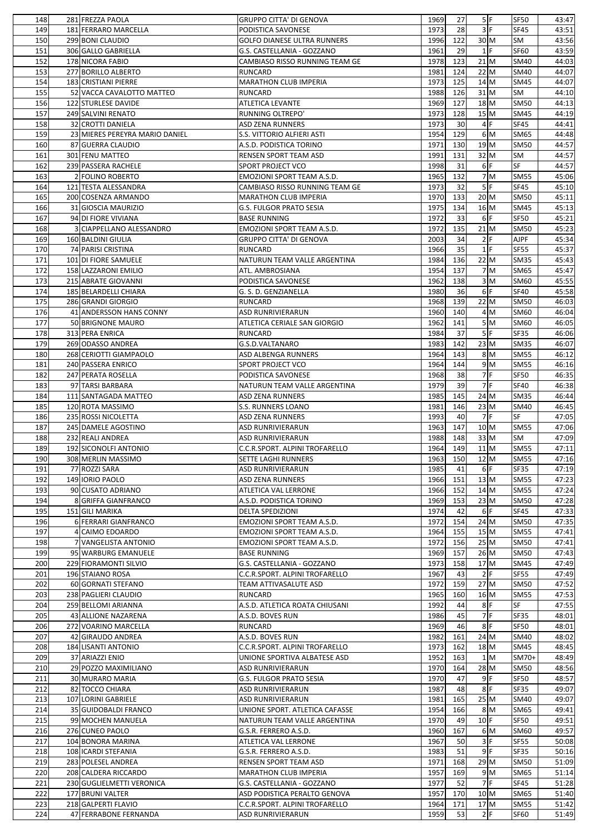| 148 | 281 FREZZA PAOLA               | <b>GRUPPO CITTA' DI GENOVA</b>     | 1969 | 27  |                                       | 5 F              | <b>SF50</b> | 43:47 |
|-----|--------------------------------|------------------------------------|------|-----|---------------------------------------|------------------|-------------|-------|
| 149 | 181 FERRARO MARCELLA           | PODISTICA SAVONESE                 | 1973 | 28  |                                       | 3 F              | <b>SF45</b> | 43:51 |
| 150 | 299 BONI CLAUDIO               |                                    |      |     | 30 M                                  |                  |             |       |
|     |                                | <b>GOLFO DIANESE ULTRA RUNNERS</b> | 1996 | 122 |                                       |                  | SM          | 43:56 |
| 151 | 306 GALLO GABRIELLA            | G.S. CASTELLANIA - GOZZANO         | 1961 | 29  |                                       | $1$ F            | <b>SF60</b> | 43:59 |
| 152 | 178 NICORA FABIO               | CAMBIASO RISSO RUNNING TEAM GE     | 1978 | 123 |                                       | $21$ M           | <b>SM40</b> | 44:03 |
| 153 | 277 BORILLO ALBERTO            | <b>RUNCARD</b>                     | 1981 | 124 | 22 M                                  |                  | <b>SM40</b> | 44:07 |
| 154 | 183 CRISTIANI PIERRE           | <b>MARATHON CLUB IMPERIA</b>       | 1973 | 125 | $14$ M                                |                  | <b>SM45</b> | 44:07 |
| 155 | 52 VACCA CAVALOTTO MATTEO      | <b>RUNCARD</b>                     | 1988 | 126 | $31$ M                                |                  | SM          | 44:10 |
|     |                                |                                    |      |     |                                       |                  |             |       |
| 156 | 122 STURLESE DAVIDE            | <b>ATLETICA LEVANTE</b>            | 1969 | 127 |                                       | 18 M             | <b>SM50</b> | 44:13 |
| 157 | 249 SALVINI RENATO             | <b>RUNNING OLTREPO'</b>            | 1973 | 128 |                                       | 15 M             | <b>SM45</b> | 44:19 |
| 158 | 32 CROTTI DANIELA              | <b>ASD ZENA RUNNERS</b>            | 1973 | 30  |                                       | $4$ F            | <b>SF45</b> | 44:41 |
| 159 | 23 MIERES PEREYRA MARIO DANIEL | <b>S.S. VITTORIO ALFIERI ASTI</b>  | 1954 | 129 |                                       | 6 M              | <b>SM65</b> | 44:48 |
|     |                                |                                    | 1971 | 130 | 19 M                                  |                  | <b>SM50</b> | 44:57 |
| 160 | 87 GUERRA CLAUDIO              | A.S.D. PODISTICA TORINO            |      |     |                                       |                  |             |       |
| 161 | 301 FENU MATTEO                | <b>RENSEN SPORT TEAM ASD</b>       | 1991 | 131 | 32 M                                  |                  | <b>SM</b>   | 44:57 |
| 162 | 239 PASSERA RACHELE            | <b>SPORT PROJECT VCO</b>           | 1998 | 31  |                                       | $6$ F            | SF          | 44:57 |
| 163 | 2 FOLINO ROBERTO               | <b>EMOZIONI SPORT TEAM A.S.D.</b>  | 1965 | 132 |                                       | 7 <sup>nd</sup>  | <b>SM55</b> | 45:06 |
| 164 | 121 TESTA ALESSANDRA           | CAMBIASO RISSO RUNNING TEAM GE     | 1973 | 32  |                                       | 5F               | <b>SF45</b> | 45:10 |
| 165 | 200 COSENZA ARMANDO            |                                    | 1970 | 133 | 20 M                                  |                  | <b>SM50</b> |       |
|     |                                | <b>MARATHON CLUB IMPERIA</b>       |      |     |                                       |                  |             | 45:11 |
| 166 | 31 GIOSCIA MAURIZIO            | <b>G.S. FULGOR PRATO SESIA</b>     | 1975 | 134 | 16 M                                  |                  | <b>SM45</b> | 45:13 |
| 167 | 94 DI FIORE VIVIANA            | <b>BASE RUNNING</b>                | 1972 | 33  |                                       | $6$ <sup>F</sup> | <b>SF50</b> | 45:21 |
| 168 | 3 CIAPPELLANO ALESSANDRO       | EMOZIONI SPORT TEAM A.S.D.         | 1972 | 135 | $21$ M                                |                  | <b>SM50</b> | 45:23 |
| 169 | 160 BALDINI GIULIA             | <b>GRUPPO CITTA' DI GENOVA</b>     | 2003 | 34  |                                       | 2 F              | <b>AJPF</b> | 45:34 |
|     |                                |                                    |      | 35  |                                       | $1$ F            |             |       |
| 170 | 74 PARISI CRISTINA             | <b>RUNCARD</b>                     | 1966 |     |                                       |                  | <b>SF55</b> | 45:37 |
| 171 | 101 DI FIORE SAMUELE           | NATURUN TEAM VALLE ARGENTINA       | 1984 | 136 | 22 M                                  |                  | <b>SM35</b> | 45:43 |
| 172 | 158 LAZZARONI EMILIO           | ATL. AMBROSIANA                    | 1954 | 137 |                                       | 7M               | <b>SM65</b> | 45:47 |
| 173 | 215 ABRATE GIOVANNI            | PODISTICA SAVONESE                 | 1962 | 138 |                                       | 3 M              | <b>SM60</b> | 45:55 |
| 174 | 185 BELARDELLI CHIARA          | G. S. D. GENZIANELLA               | 1980 | 36  |                                       | $6$ F            | <b>SF40</b> | 45:58 |
|     |                                |                                    |      |     |                                       |                  |             |       |
| 175 | 286 GRANDI GIORGIO             | <b>RUNCARD</b>                     | 1968 | 139 | 22 M                                  |                  | <b>SM50</b> | 46:03 |
| 176 | 41 ANDERSSON HANS CONNY        | <b>ASD RUNRIVIERARUN</b>           | 1960 | 140 |                                       | 4 M              | <b>SM60</b> | 46:04 |
| 177 | 50 BRIGNONE MAURO              | ATLETICA CERIALE SAN GIORGIO       | 1962 | 141 |                                       | 5 M              | <b>SM60</b> | 46:05 |
| 178 | 313 PERA ENRICA                | <b>RUNCARD</b>                     | 1984 | 37  |                                       | 5 F              | <b>SF35</b> | 46:06 |
| 179 | 269 ODASSO ANDREA              | G.S.D.VALTANARO                    | 1983 | 142 |                                       | 23 M             | <b>SM35</b> | 46:07 |
|     |                                |                                    |      |     |                                       |                  |             |       |
| 180 | 268 CERIOTTI GIAMPAOLO         | <b>ASD ALBENGA RUNNERS</b>         | 1964 | 143 |                                       | 8M               | <b>SM55</b> | 46:12 |
| 181 | 240 PASSERA ENRICO             | <b>SPORT PROJECT VCO</b>           | 1964 | 144 |                                       | 9M               | <b>SM55</b> | 46:16 |
| 182 | 247 PERATA ROSELLA             | PODISTICA SAVONESE                 | 1968 | 38  |                                       | $7$ F            | <b>SF50</b> | 46:35 |
| 183 | 97 TARSI BARBARA               | NATURUN TEAM VALLE ARGENTINA       | 1979 | 39  |                                       | 7F               | <b>SF40</b> | 46:38 |
| 184 | 111 SANTAGADA MATTEO           | <b>ASD ZENA RUNNERS</b>            | 1985 | 145 | $24$ M                                |                  | <b>SM35</b> | 46:44 |
|     |                                |                                    |      |     |                                       |                  |             |       |
| 185 | 120 ROTA MASSIMO               | <b>S.S. RUNNERS LOANO</b>          | 1981 | 146 |                                       | 23 M             | <b>SM40</b> | 46:45 |
| 186 | 235 ROSSI NICOLETTA            | <b>ASD ZENA RUNNERS</b>            | 1993 | 40  |                                       | 7F               | SF          | 47:05 |
| 187 | 245 DAMELE AGOSTINO            | <b>ASD RUNRIVIERARUN</b>           | 1963 | 147 | 10 M                                  |                  | <b>SM55</b> | 47:06 |
| 188 | 232 REALI ANDREA               | <b>ASD RUNRIVIERARUN</b>           | 1988 | 148 | 33 M                                  |                  | <b>SM</b>   | 47:09 |
| 189 | 192 SICONOLFI ANTONIO          | C.C.R.SPORT. ALPINI TROFARELLO     | 1964 | 149 |                                       | $11$ M           | <b>SM55</b> | 47:11 |
|     |                                |                                    |      | 150 |                                       | 12 M             | <b>SM55</b> |       |
| 190 | 308 MERLIN MASSIMO             | <b>SETTE LAGHI RUNNERS</b>         | 1963 |     |                                       |                  |             | 47:16 |
| 191 | 77 ROZZI SARA                  | <b>ASD RUNRIVIERARUN</b>           | 1985 | 41  |                                       | $6$ F            | <b>SF35</b> | 47:19 |
| 192 | 149 IORIO PAOLO                | <b>ASD ZENA RUNNERS</b>            | 1966 | 151 | 13 M                                  |                  | <b>SM55</b> | 47:23 |
| 193 | 90 CUSATO ADRIANO              | <b>ATLETICA VAL LERRONE</b>        | 1966 | 152 | $14$ M                                |                  | <b>SM55</b> | 47:24 |
| 194 | 8 GRIFFA GIANFRANCO            | A.S.D. PODISTICA TORINO            | 1969 | 153 | 23 M                                  |                  | <b>SM50</b> | 47:28 |
|     |                                |                                    |      |     |                                       | $6$ F            |             |       |
| 195 | 151 GILI MARIKA                | <b>DELTA SPEDIZIONI</b>            | 1974 | 42  |                                       |                  | <b>SF45</b> | 47:33 |
| 196 | 6 FERRARI GIANFRANCO           | EMOZIONI SPORT TEAM A.S.D.         | 1972 | 154 | $24$ M                                |                  | <b>SM50</b> | 47:35 |
| 197 | 4 CAIMO EDOARDO                | EMOZIONI SPORT TEAM A.S.D.         | 1964 | 155 | 15 M                                  |                  | <b>SM55</b> | 47:41 |
| 198 | 7 VANGELISTA ANTONIO           | <b>EMOZIONI SPORT TEAM A.S.D.</b>  | 1972 | 156 | 25 M                                  |                  | <b>SM50</b> | 47:41 |
| 199 | 95 WARBURG EMANUELE            | <b>BASE RUNNING</b>                | 1969 | 157 | $26$ M                                |                  | <b>SM50</b> | 47:43 |
|     |                                |                                    | 1973 | 158 | 17 M                                  |                  | <b>SM45</b> |       |
| 200 | 229 FIORAMONTI SILVIO          | G.S. CASTELLANIA - GOZZANO         |      |     |                                       |                  |             | 47:49 |
| 201 | 196 STAIANO ROSA               | C.C.R.SPORT. ALPINI TROFARELLO     | 1967 | 43  |                                       | 2 F              | <b>SF55</b> | 47:49 |
| 202 | 60 GORNATI STEFANO             | TEAM ATTIVASALUTE ASD              | 1972 | 159 | $27$ M                                |                  | <b>SM50</b> | 47:52 |
| 203 | 238 PAGLIERI CLAUDIO           | <b>RUNCARD</b>                     | 1965 | 160 | $16$ M                                |                  | <b>SM55</b> | 47:53 |
| 204 | 259 BELLOMI ARIANNA            | A.S.D. ATLETICA ROATA CHIUSANI     | 1992 | 44  |                                       | $8$ F            | SF          | 47:55 |
| 205 | 43 ALLIONE NAZARENA            | A.S.D. BOVES RUN                   | 1986 | 45  |                                       | 7F               | <b>SF35</b> | 48:01 |
|     |                                |                                    |      |     |                                       |                  |             |       |
| 206 | 272 VOARINO MARCELLA           | <b>RUNCARD</b>                     | 1969 | 46  |                                       | $8$ F            | <b>SF50</b> | 48:01 |
| 207 | 42 GIRAUDO ANDREA              | A.S.D. BOVES RUN                   | 1982 | 161 |                                       | $24$ M           | <b>SM40</b> | 48:02 |
| 208 | 184 LISANTI ANTONIO            | C.C.R.SPORT. ALPINI TROFARELLO     | 1973 | 162 |                                       | 18 M             | <b>SM45</b> | 48:45 |
| 209 | 37 ARIAZZI ENIO                | UNIONE SPORTIVA ALBATESE ASD       | 1952 | 163 |                                       | 1 <sub>M</sub>   | SM70+       | 48:49 |
| 210 | 29 POZZO MAXIMILIANO           | <b>ASD RUNRIVIERARUN</b>           | 1970 | 164 | $28$ M                                |                  | <b>SM50</b> | 48:56 |
|     |                                |                                    |      |     |                                       | $9$ F            |             |       |
| 211 | 30 MURARO MARIA                | <b>G.S. FULGOR PRATO SESIA</b>     | 1970 | 47  |                                       |                  | <b>SF50</b> | 48:57 |
| 212 | 82 TOCCO CHIARA                | <b>ASD RUNRIVIERARUN</b>           | 1987 | 48  |                                       | $8$ F            | <b>SF35</b> | 49:07 |
| 213 | 107 LORINI GABRIELE            | <b>ASD RUNRIVIERARUN</b>           | 1981 | 165 | 25 M                                  |                  | <b>SM40</b> | 49:07 |
| 214 | 35 GUIDOBALDI FRANCO           | UNIONE SPORT. ATLETICA CAFASSE     | 1954 | 166 |                                       | $8\vert M$       | SM65        | 49:41 |
| 215 | 99 MOCHEN MANUELA              | NATURUN TEAM VALLE ARGENTINA       | 1970 | 49  | $10$ <sup><math>\text{F}</math></sup> |                  | <b>SF50</b> | 49:51 |
|     |                                |                                    |      |     |                                       |                  |             |       |
| 216 | 276 CUNEO PAOLO                | G.S.R. FERRERO A.S.D.              | 1960 | 167 |                                       | 6 M              | <b>SM60</b> | 49:57 |
| 217 | 104 BONORA MARINA              | <b>ATLETICA VAL LERRONE</b>        | 1967 | 50  |                                       | 3 F              | <b>SF55</b> | 50:08 |
| 218 | 108 ICARDI STEFANIA            | G.S.R. FERRERO A.S.D.              | 1983 | 51  |                                       | $9$ F            | <b>SF35</b> | 50:16 |
| 219 | 283 POLESEL ANDREA             | <b>RENSEN SPORT TEAM ASD</b>       | 1971 | 168 | $29$ M                                |                  | <b>SM50</b> | 51:09 |
| 220 | 208 CALDERA RICCARDO           | <b>MARATHON CLUB IMPERIA</b>       | 1957 | 169 |                                       | 9 M              | <b>SM65</b> | 51:14 |
| 221 | 230 GUGLIELMETTI VERONICA      | G.S. CASTELLANIA - GOZZANO         | 1977 | 52  |                                       | $7$ F            | <b>SF45</b> | 51:28 |
|     |                                |                                    |      |     |                                       |                  |             |       |
|     |                                |                                    |      |     |                                       |                  |             |       |
| 222 | 177 BRUNI VALTER               | ASD PODISTICA PERALTO GENOVA       | 1957 | 170 |                                       | 10 M             | <b>SM65</b> | 51:40 |
| 223 | 218 GALPERTI FLAVIO            | C.C.R.SPORT. ALPINI TROFARELLO     | 1964 | 171 | 17 M                                  | 2 F              | <b>SM55</b> | 51:42 |